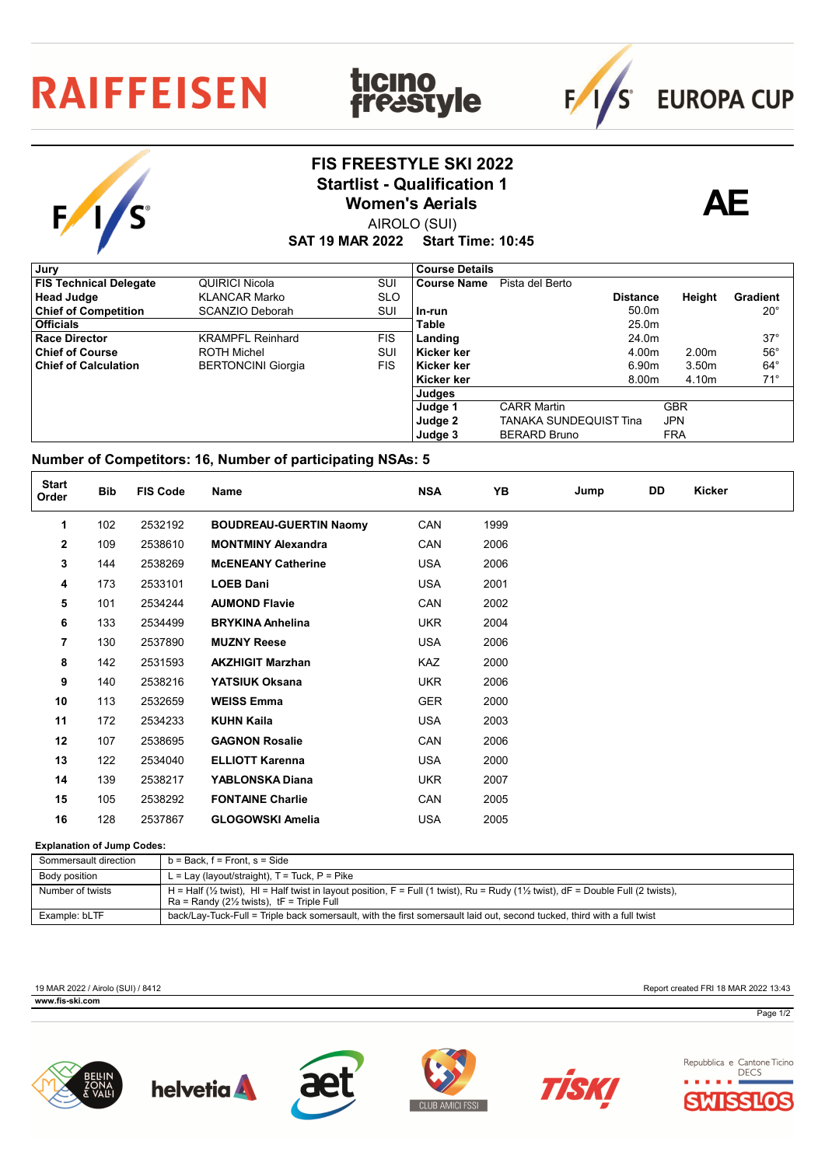## **RAIFFEISEN**

S

## **FIS FREESTYLE SKI 2022** Startlist - Qualification 1<br>
Women's Aerials **AE**

**ticino<br>freastyle** 



 $F/1/s$ 

**EUROPA CUP** 

AIROLO (SUI) **Women's Aerials**

**SAT 19 MAR 2022 Start Time: 10:45**

| Jury                          |                           |            | <b>Course Details</b> |                        |                   |                   |              |
|-------------------------------|---------------------------|------------|-----------------------|------------------------|-------------------|-------------------|--------------|
| <b>FIS Technical Delegate</b> | QUIRICI Nicola            | SUI        | <b>Course Name</b>    | Pista del Berto        |                   |                   |              |
| <b>Head Judge</b>             | <b>KLANCAR Marko</b>      | <b>SLO</b> |                       |                        | <b>Distance</b>   | Height            | Gradient     |
| <b>Chief of Competition</b>   | SCANZIO Deborah           | SUI        | l In-run              |                        | 50.0 <sub>m</sub> |                   | $20^{\circ}$ |
| <b>Officials</b>              |                           |            | <b>Table</b>          |                        | 25.0m             |                   |              |
| <b>Race Director</b>          | <b>KRAMPFL Reinhard</b>   | <b>FIS</b> | Landing               |                        | 24.0m             |                   | $37^\circ$   |
| <b>Chief of Course</b>        | <b>ROTH Michel</b>        | SUI        | Kicker ker            |                        | 4.00m             | 2.00 <sub>m</sub> | $56^\circ$   |
| <b>Chief of Calculation</b>   | <b>BERTONCINI Giorgia</b> | FIS.       | Kicker ker            |                        | 6.90m             | 3.50 <sub>m</sub> | $64^\circ$   |
|                               |                           |            | Kicker ker            |                        | 8.00m             | 4.10m             | $71^\circ$   |
|                               |                           |            | Judges                |                        |                   |                   |              |
|                               |                           |            | Judge 1               | <b>CARR Martin</b>     |                   | <b>GBR</b>        |              |
|                               |                           |            | Judge 2               | TANAKA SUNDEQUIST Tina |                   | <b>JPN</b>        |              |
|                               |                           |            | Judge 3               | <b>BERARD Bruno</b>    |                   | <b>FRA</b>        |              |

## **Number of Competitors: 16, Number of participating NSAs: 5**

| <b>Start</b><br>Order | <b>Bib</b> | <b>FIS Code</b> | Name                          | <b>NSA</b> | YB   | Jump | DD | Kicker |
|-----------------------|------------|-----------------|-------------------------------|------------|------|------|----|--------|
| 1                     | 102        | 2532192         | <b>BOUDREAU-GUERTIN Naomy</b> | CAN        | 1999 |      |    |        |
| $\mathbf{2}$          | 109        | 2538610         | <b>MONTMINY Alexandra</b>     | CAN        | 2006 |      |    |        |
| 3                     | 144        | 2538269         | <b>McENEANY Catherine</b>     | <b>USA</b> | 2006 |      |    |        |
| 4                     | 173        | 2533101         | <b>LOEB Dani</b>              | <b>USA</b> | 2001 |      |    |        |
| 5                     | 101        | 2534244         | <b>AUMOND Flavie</b>          | CAN        | 2002 |      |    |        |
| 6                     | 133        | 2534499         | <b>BRYKINA Anhelina</b>       | <b>UKR</b> | 2004 |      |    |        |
| 7                     | 130        | 2537890         | <b>MUZNY Reese</b>            | <b>USA</b> | 2006 |      |    |        |
| 8                     | 142        | 2531593         | <b>AKZHIGIT Marzhan</b>       | KAZ        | 2000 |      |    |        |
| 9                     | 140        | 2538216         | YATSIUK Oksana                | <b>UKR</b> | 2006 |      |    |        |
| 10                    | 113        | 2532659         | <b>WEISS Emma</b>             | <b>GER</b> | 2000 |      |    |        |
| 11                    | 172        | 2534233         | <b>KUHN Kaila</b>             | <b>USA</b> | 2003 |      |    |        |
| 12                    | 107        | 2538695         | <b>GAGNON Rosalie</b>         | CAN        | 2006 |      |    |        |
| 13                    | 122        | 2534040         | <b>ELLIOTT Karenna</b>        | <b>USA</b> | 2000 |      |    |        |
| 14                    | 139        | 2538217         | <b>YABLONSKA Diana</b>        | <b>UKR</b> | 2007 |      |    |        |
| 15                    | 105        | 2538292         | <b>FONTAINE Charlie</b>       | CAN        | 2005 |      |    |        |
| 16                    | 128        | 2537867         | <b>GLOGOWSKI Amelia</b>       | USA        | 2005 |      |    |        |

## **Explanation of Jump Codes:**

| Sommersault direction | $b = Back$ , $f = Front$ , $s = Side$                                                                                                                                                                              |
|-----------------------|--------------------------------------------------------------------------------------------------------------------------------------------------------------------------------------------------------------------|
| Body position         | L = Lay (layout/straight), $T$ = Tuck, $P$ = Pike                                                                                                                                                                  |
| Number of twists      | H = Half ( $\frac{1}{2}$ twist), HI = Half twist in layout position, F = Full (1 twist), Ru = Rudy ( $\frac{1}{2}$ twist), dF = Double Full (2 twists),<br>$Ra =$ Randy (2 $\frac{1}{2}$ twists), tF = Triple Full |
| Example: bLTF         | back/Lay-Tuck-Full = Triple back somersault, with the first somersault laid out, second tucked, third with a full twist                                                                                            |

19 MAR 2022 / Airolo (SUI) / 8412 Report created FRI 18 MAR 2022 13:43 **FIS-SKI.com** 











Repubblica e Cantone Ticino **DECS** SIO

Page 1/2